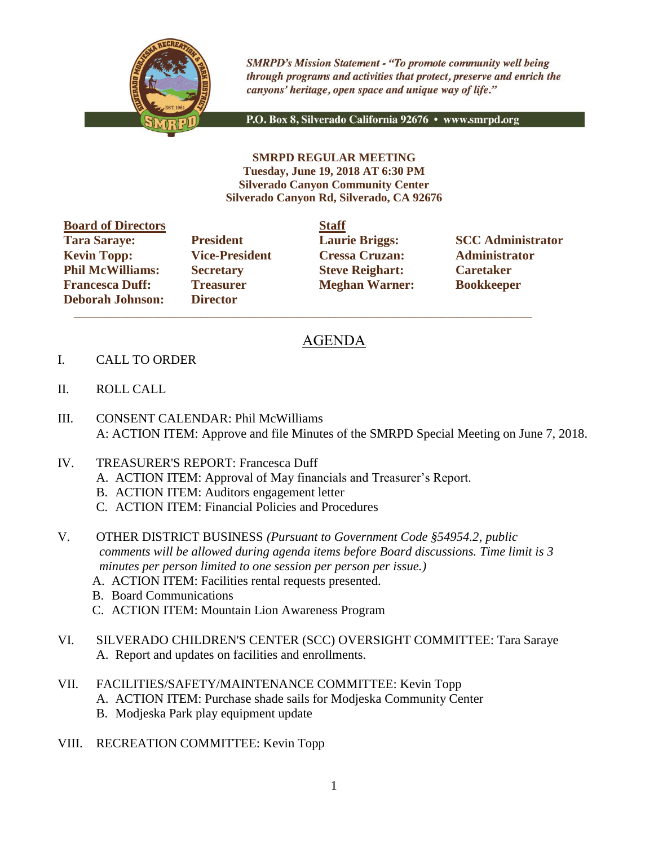

**SMRPD's Mission Statement - "To promote community well being** through programs and activities that protect, preserve and enrich the canyons' heritage, open space and unique way of life."

P.O. Box 8, Silverado California 92676 · www.smrpd.org

**SMRPD REGULAR MEETING Tuesday, June 19, 2018 AT 6:30 PM Silverado Canyon Community Center Silverado Canyon Rd, Silverado, CA 92676**

| <b>Board of Directors</b> |                       | <b>Staff</b> |
|---------------------------|-----------------------|--------------|
| <b>Tara Saraye:</b>       | <b>President</b>      | Laur         |
| <b>Kevin Topp:</b>        | <b>Vice-President</b> | <b>Cres</b>  |
| <b>Phil McWilliams:</b>   | <b>Secretary</b>      | <b>Steve</b> |
| <b>Francesca Duff:</b>    | <b>Treasurer</b>      | Megl         |
| <b>Deborah Johnson:</b>   | <b>Director</b>       |              |

**Director**  $\mathcal{L}_\text{max}$  , and the set of the set of the set of the set of the set of the set of the set of the set of the set of the set of the set of the set of the set of the set of the set of the set of the set of the set of the

**Kevin Topp: Vice-President Cressa Cruzan: Administrator Philo McGive Reighart: Philosopherene Caretaker Freasurer Meghan Warner: Bookkeeper** 

**Tarages: President Laurie Briggs: SCC Administrator** 

## AGENDA

- I. CALL TO ORDER
- II. ROLL CALL
- III. CONSENT CALENDAR: Phil McWilliams A: ACTION ITEM: Approve and file Minutes of the SMRPD Special Meeting on June 7, 2018.
- IV. TREASURER'S REPORT: Francesca Duff
	- A. ACTION ITEM: Approval of May financials and Treasurer's Report.
	- B. ACTION ITEM: Auditors engagement letter
	- C. ACTION ITEM: Financial Policies and Procedures
- V. OTHER DISTRICT BUSINESS *(Pursuant to Government Code §54954.2, public comments will be allowed during agenda items before Board discussions. Time limit is 3 minutes per person limited to one session per person per issue.)*
	- A. ACTION ITEM: Facilities rental requests presented.
	- B. Board Communications
	- C. ACTION ITEM: Mountain Lion Awareness Program
- VI. SILVERADO CHILDREN'S CENTER (SCC) OVERSIGHT COMMITTEE: Tara Saraye A. Report and updates on facilities and enrollments.
- VII. FACILITIES/SAFETY/MAINTENANCE COMMITTEE: Kevin Topp A. ACTION ITEM: Purchase shade sails for Modjeska Community Center B. Modjeska Park play equipment update
- VIII. RECREATION COMMITTEE: Kevin Topp